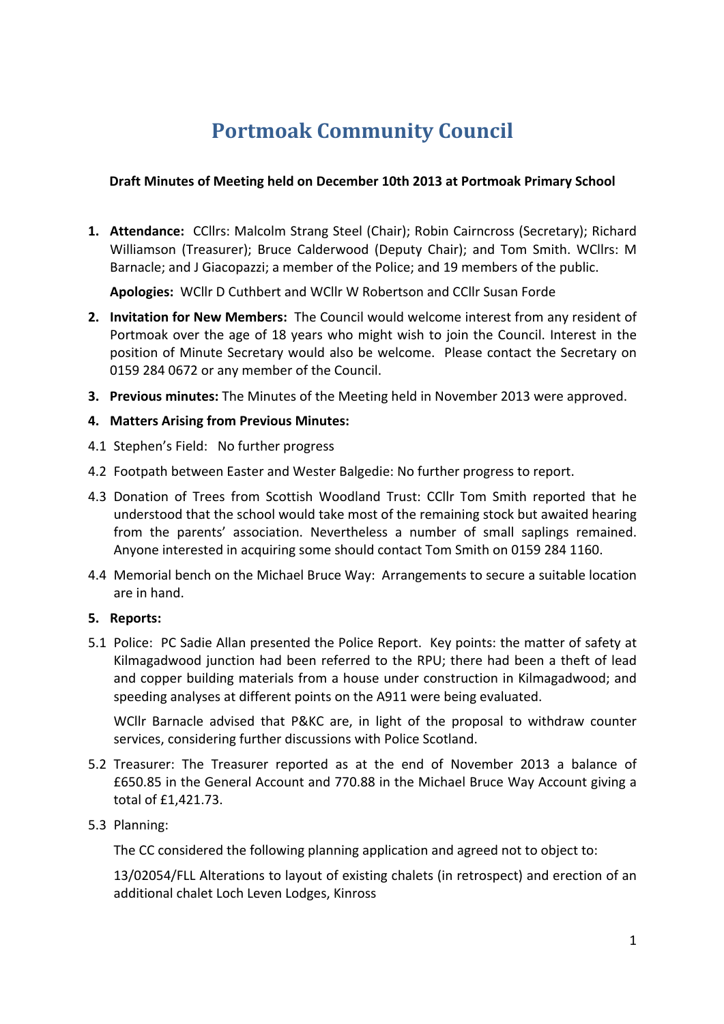# **Portmoak Community Council**

#### **Draft Minutes of Meeting held on December 10th 2013 at Portmoak Primary School**

1. Attendance: CCllrs: Malcolm Strang Steel (Chair); Robin Cairncross (Secretary); Richard Williamson (Treasurer); Bruce Calderwood (Deputy Chair); and Tom Smith. WCllrs: M Barnacle; and J Giacopazzi; a member of the Police; and 19 members of the public.

**Apologies:** WCllr D Cuthbert and WCllr W Robertson and CCllr Susan Forde

- **2.** Invitation for New Members: The Council would welcome interest from any resident of Portmoak over the age of 18 years who might wish to join the Council. Interest in the position of Minute Secretary would also be welcome. Please contact the Secretary on 0159 284 0672 or any member of the Council.
- **3. Previous minutes:** The Minutes of the Meeting held in November 2013 were approved.
- **4. Matters Arising from Previous Minutes:**
- 4.1 Stephen's Field: No further progress
- 4.2 Footpath between Easter and Wester Balgedie: No further progress to report.
- 4.3 Donation of Trees from Scottish Woodland Trust: CCllr Tom Smith reported that he understood that the school would take most of the remaining stock but awaited hearing from the parents' association. Nevertheless a number of small saplings remained. Anyone interested in acquiring some should contact Tom Smith on 0159 284 1160.
- 4.4 Memorial bench on the Michael Bruce Way: Arrangements to secure a suitable location are in hand.

#### **5. Reports:**

5.1 Police: PC Sadie Allan presented the Police Report. Key points: the matter of safety at Kilmagadwood junction had been referred to the RPU; there had been a theft of lead and copper building materials from a house under construction in Kilmagadwood; and speeding analyses at different points on the A911 were being evaluated.

WCllr Barnacle advised that P&KC are, in light of the proposal to withdraw counter services, considering further discussions with Police Scotland.

- 5.2 Treasurer: The Treasurer reported as at the end of November 2013 a balance of £650.85 in the General Account and 770.88 in the Michael Bruce Way Account giving a total of £1,421.73.
- 5.3 Planning:

The CC considered the following planning application and agreed not to object to:

13/02054/FLL Alterations to layout of existing chalets (in retrospect) and erection of an additional chalet Loch Leven Lodges, Kinross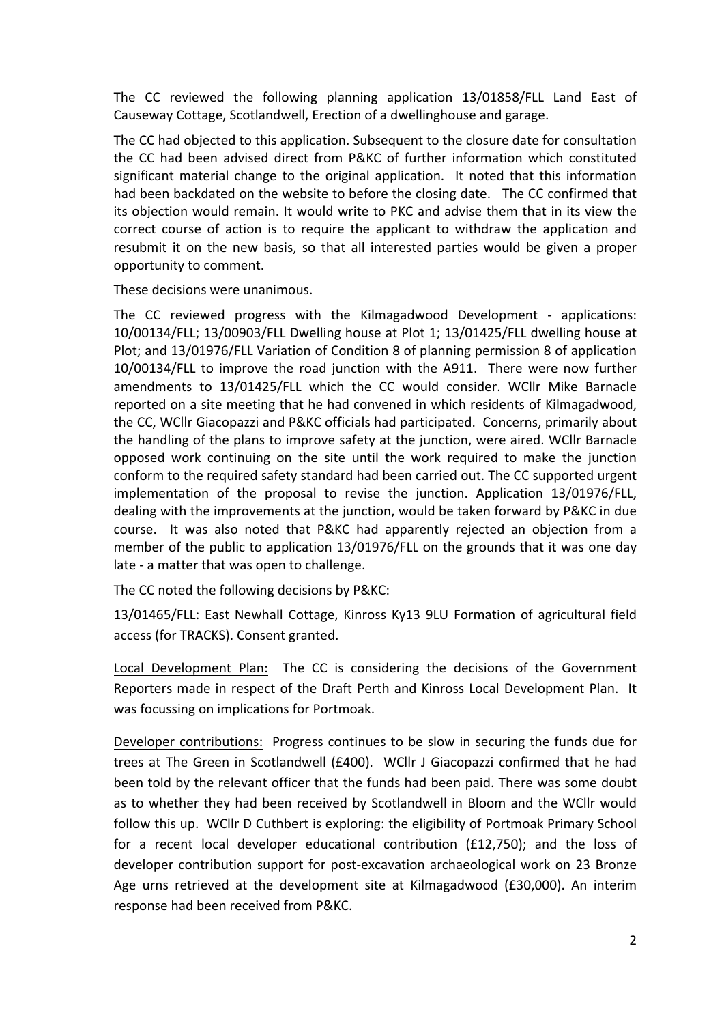The CC reviewed the following planning application 13/01858/FLL Land East of Causeway Cottage, Scotlandwell, Erection of a dwellinghouse and garage.

The CC had objected to this application. Subsequent to the closure date for consultation the CC had been advised direct from P&KC of further information which constituted significant material change to the original application. It noted that this information had been backdated on the website to before the closing date. The CC confirmed that its objection would remain. It would write to PKC and advise them that in its view the correct course of action is to require the applicant to withdraw the application and resubmit it on the new basis, so that all interested parties would be given a proper opportunity to comment.

These decisions were unanimous.

The CC reviewed progress with the Kilmagadwood Development - applications: 10/00134/FLL; 13/00903/FLL Dwelling house at Plot 1; 13/01425/FLL dwelling house at Plot; and 13/01976/FLL Variation of Condition 8 of planning permission 8 of application 10/00134/FLL to improve the road junction with the A911. There were now further amendments to 13/01425/FLL which the CC would consider. WCllr Mike Barnacle reported on a site meeting that he had convened in which residents of Kilmagadwood, the CC, WCllr Giacopazzi and P&KC officials had participated. Concerns, primarily about the handling of the plans to improve safety at the junction, were aired. WCllr Barnacle opposed work continuing on the site until the work required to make the junction conform to the required safety standard had been carried out. The CC supported urgent implementation of the proposal to revise the junction. Application 13/01976/FLL, dealing with the improvements at the junction, would be taken forward by P&KC in due course. It was also noted that P&KC had apparently rejected an objection from a member of the public to application 13/01976/FLL on the grounds that it was one day late - a matter that was open to challenge.

The CC noted the following decisions by P&KC:

13/01465/FLL: East Newhall Cottage, Kinross Ky13 9LU Formation of agricultural field access (for TRACKS). Consent granted.

Local Development Plan: The CC is considering the decisions of the Government Reporters made in respect of the Draft Perth and Kinross Local Development Plan. It was focussing on implications for Portmoak.

Developer contributions: Progress continues to be slow in securing the funds due for trees at The Green in Scotlandwell ( $£400$ ). WCllr J Giacopazzi confirmed that he had been told by the relevant officer that the funds had been paid. There was some doubt as to whether they had been received by Scotlandwell in Bloom and the WCllr would follow this up. WCllr D Cuthbert is exploring: the eligibility of Portmoak Primary School for a recent local developer educational contribution ( $E12,750$ ); and the loss of developer contribution support for post-excavation archaeological work on 23 Bronze Age urns retrieved at the development site at Kilmagadwood (£30,000). An interim response had been received from P&KC.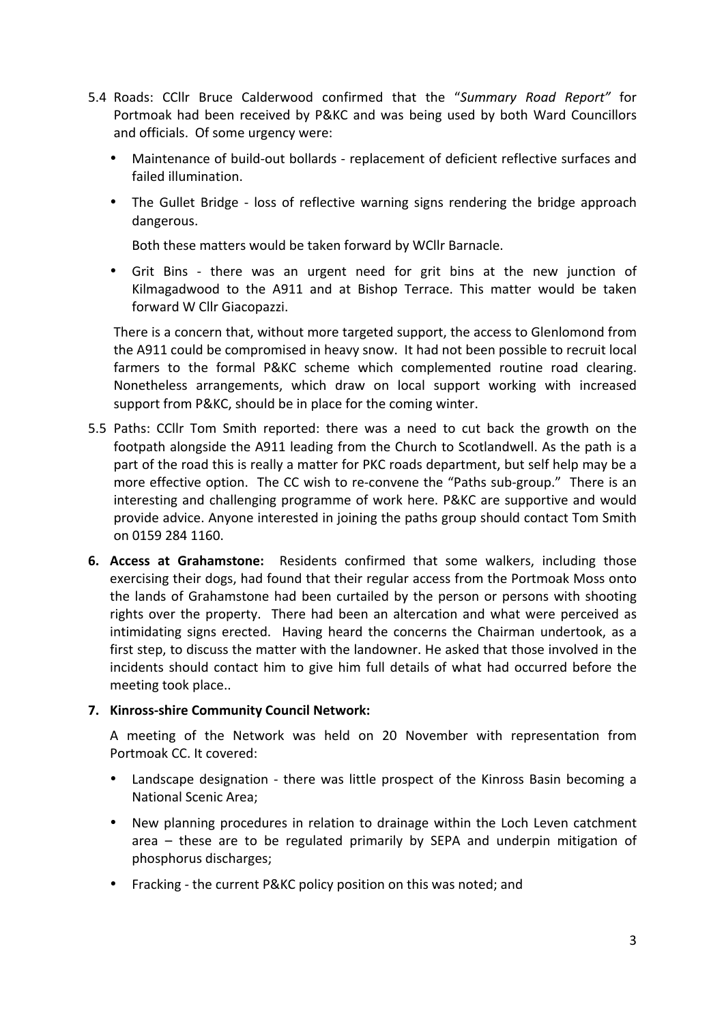- 5.4 Roads: CCllr Bruce Calderwood confirmed that the "Summary Road Report" for Portmoak had been received by P&KC and was being used by both Ward Councillors and officials. Of some urgency were:
	- Maintenance of build-out bollards replacement of deficient reflective surfaces and failed illumination.
	- The Gullet Bridge loss of reflective warning signs rendering the bridge approach dangerous.

Both these matters would be taken forward by WCllr Barnacle.

• Grit Bins - there was an urgent need for grit bins at the new junction of Kilmagadwood to the A911 and at Bishop Terrace. This matter would be taken forward W Cllr Giacopazzi.

There is a concern that, without more targeted support, the access to Glenlomond from the A911 could be compromised in heavy snow. It had not been possible to recruit local farmers to the formal P&KC scheme which complemented routine road clearing. Nonetheless arrangements, which draw on local support working with increased support from P&KC, should be in place for the coming winter.

- 5.5 Paths: CCllr Tom Smith reported: there was a need to cut back the growth on the footpath alongside the A911 leading from the Church to Scotlandwell. As the path is a part of the road this is really a matter for PKC roads department, but self help may be a more effective option. The CC wish to re-convene the "Paths sub-group." There is an interesting and challenging programme of work here. P&KC are supportive and would provide advice. Anyone interested in joining the paths group should contact Tom Smith on 0159 284 1160.
- **6. Access at Grahamstone:** Residents confirmed that some walkers, including those exercising their dogs, had found that their regular access from the Portmoak Moss onto the lands of Grahamstone had been curtailed by the person or persons with shooting rights over the property. There had been an altercation and what were perceived as intimidating signs erected. Having heard the concerns the Chairman undertook, as a first step, to discuss the matter with the landowner. He asked that those involved in the incidents should contact him to give him full details of what had occurred before the meeting took place..

#### **7. Kinross-shire Community Council Network:**

A meeting of the Network was held on 20 November with representation from Portmoak CC. It covered:

- Landscape designation there was little prospect of the Kinross Basin becoming a National Scenic Area;
- New planning procedures in relation to drainage within the Loch Leven catchment area  $-$  these are to be regulated primarily by SEPA and underpin mitigation of phosphorus discharges;
- Fracking the current P&KC policy position on this was noted; and